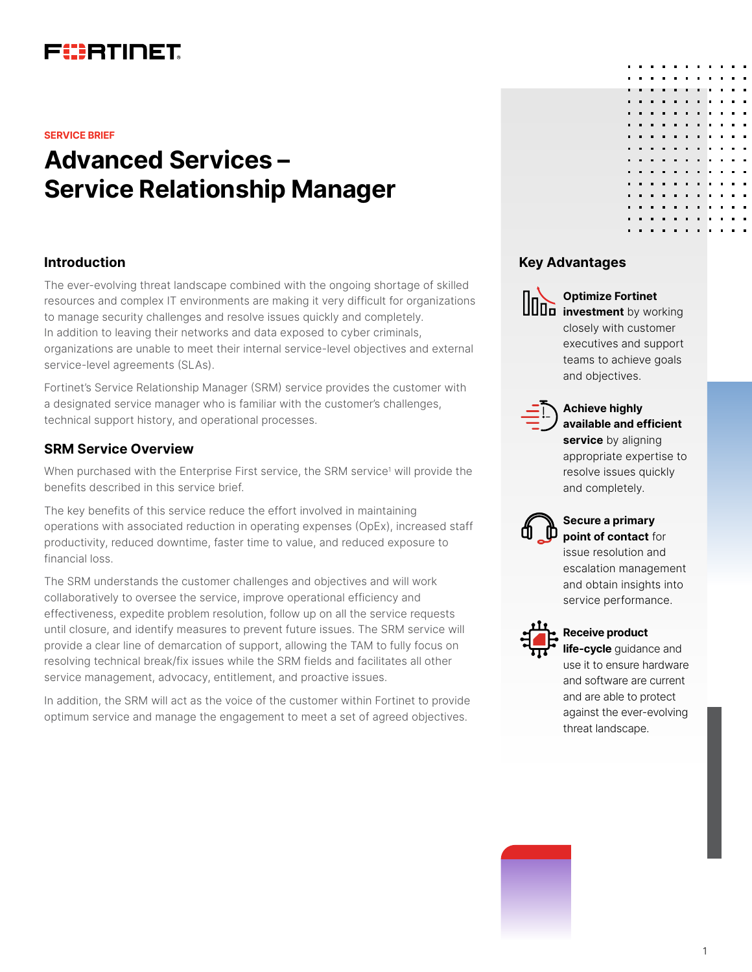

#### **SERVICE BRIEF**

# **Advanced Services – Service Relationship Manager**

### **Introduction**

The ever-evolving threat landscape combined with the ongoing shortage of skilled resources and complex IT environments are making it very difficult for organizations to manage security challenges and resolve issues quickly and completely. In addition to leaving their networks and data exposed to cyber criminals, organizations are unable to meet their internal service-level objectives and external service-level agreements (SLAs).

Fortinet's Service Relationship Manager (SRM) service provides the customer with a designated service manager who is familiar with the customer's challenges, technical support history, and operational processes.

## **SRM Service Overview**

When purchased with the Enterprise First service, the SRM service<sup>1</sup> will provide the benefits described in this service brief.

The key benefits of this service reduce the effort involved in maintaining operations with associated reduction in operating expenses (OpEx), increased staff productivity, reduced downtime, faster time to value, and reduced exposure to financial loss.

The SRM understands the customer challenges and objectives and will work collaboratively to oversee the service, improve operational efficiency and effectiveness, expedite problem resolution, follow up on all the service requests until closure, and identify measures to prevent future issues. The SRM service will provide a clear line of demarcation of support, allowing the TAM to fully focus on resolving technical break/fix issues while the SRM fields and facilitates all other service management, advocacy, entitlement, and proactive issues.

In addition, the SRM will act as the voice of the customer within Fortinet to provide optimum service and manage the engagement to meet a set of agreed objectives.

# **Key Advantages**



### **Optimize Fortinet**

**investment** by working closely with customer executives and support teams to achieve goals and objectives.



## **Achieve highly available and efficient**

**service** by aligning appropriate expertise to resolve issues quickly and completely.



## **Secure a primary point of contact** for

issue resolution and escalation management and obtain insights into service performance.



#### **Receive product**

**life-cycle** guidance and use it to ensure hardware and software are current and are able to protect against the ever-evolving threat landscape.